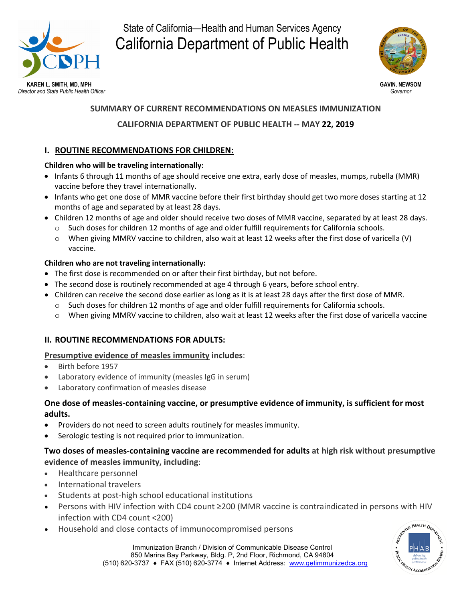

State of California—Health and Human Services Agency California Department of Public Health



# **SUMMARY OF CURRENT RECOMMENDATIONS ON MEASLES IMMUNIZATION**

# **CALIFORNIA DEPARTMENT OF PUBLIC HEALTH -- MAY 22, 2019**

# **I. ROUTINE RECOMMENDATIONS FOR CHILDREN:**

#### **Children who will be traveling internationally:**

- Infants 6 through 11 months of age should receive one extra, early dose of measles, mumps, rubella (MMR) vaccine before they travel internationally.
- Infants who get one dose of MMR vaccine before their first birthday should get two more doses starting at 12 months of age and separated by at least 28 days.
- Children 12 months of age and older should receive two doses of MMR vaccine, separated by at least 28 days.
	- o Such doses for children 12 months of age and older fulfill requirements for California schools.
	- o When giving MMRV vaccine to children, also wait at least 12 weeks after the first dose of varicella (V) vaccine.

#### **Children who are not traveling internationally:**

- The first dose is recommended on or after their first birthday, but not before.
- The second dose is routinely recommended at age 4 through 6 years, before school entry.
- Children can receive the second dose earlier as long as it is at least 28 days after the first dose of MMR.
	- o Such doses for children 12 months of age and older fulfill requirements for California schools.
	- o When giving MMRV vaccine to children, also wait at least 12 weeks after the first dose of varicella vaccine

# **II. ROUTINE RECOMMENDATIONS FOR ADULTS:**

# **Presumptive evidence of measles immunity includes**:

- Birth before 1957
- Laboratory evidence of immunity (measles IgG in serum)
- Laboratory confirmation of measles disease

# **One dose of measles-containing vaccine, or presumptive evidence of immunity, is sufficient for most adults.**

- Providers do not need to screen adults routinely for measles immunity.
- Serologic testing is not required prior to immunization.

# **Two doses of measles-containing vaccine are recommended for adults at high risk without presumptive evidence of measles immunity, including**:

- Healthcare personnel
- International travelers
- Students at post-high school educational institutions
- Persons with HIV infection with CD4 count ≥200 (MMR vaccine is contraindicated in persons with HIV infection with CD4 count <200)
- Household and close contacts of immunocompromised persons

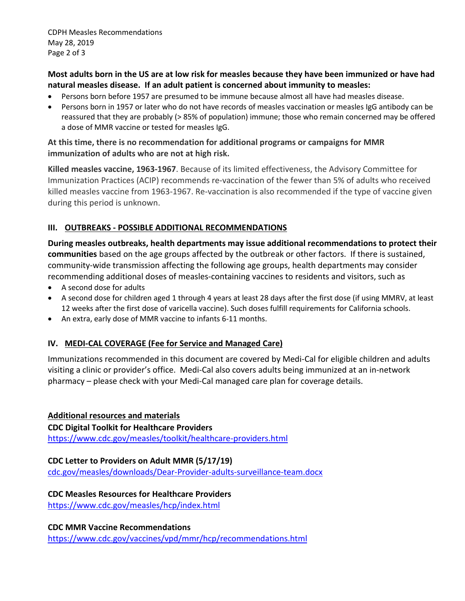CDPH Measles Recommendations May 28, 2019 Page 2 of 3

#### **Most adults born in the US are at low risk for measles because they have been immunized or have had natural measles disease. If an adult patient is concerned about immunity to measles:**

- Persons born before 1957 are presumed to be immune because almost all have had measles disease.
- Persons born in 1957 or later who do not have records of measles vaccination or measles IgG antibody can be reassured that they are probably (> 85% of population) immune; those who remain concerned may be offered a dose of MMR vaccine or tested for measles IgG.

#### **At this time, there is no recommendation for additional programs or campaigns for MMR immunization of adults who are not at high risk.**

**Killed measles vaccine, 1963-1967**. Because of its limited effectiveness, the Advisory Committee for Immunization Practices (ACIP) recommends re-vaccination of the fewer than 5% of adults who received killed measles vaccine from 1963-1967. Re-vaccination is also recommended if the type of vaccine given during this period is unknown.

# **III. OUTBREAKS - POSSIBLE ADDITIONAL RECOMMENDATIONS**

**During measles outbreaks, health departments may issue additional recommendations to protect their communities** based on the age groups affected by the outbreak or other factors. If there is sustained, community-wide transmission affecting the following age groups, health departments may consider recommending additional doses of measles-containing vaccines to residents and visitors, such as

- A second dose for adults
- A second dose for children aged 1 through 4 years at least 28 days after the first dose (if using MMRV, at least 12 weeks after the first dose of varicella vaccine). Such doses fulfill requirements for California schools.
- An extra, early dose of MMR vaccine to infants 6-11 months.

# **IV. MEDI-CAL COVERAGE (Fee for Service and Managed Care)**

Immunizations recommended in this document are covered by Medi-Cal for eligible children and adults visiting a clinic or provider's office. Medi-Cal also covers adults being immunized at an in-network pharmacy – please check with your Medi-Cal managed care plan for coverage details.

# **Additional resources and materials**

**CDC Digital Toolkit for Healthcare Providers** <https://www.cdc.gov/measles/toolkit/healthcare-providers.html>

# **CDC Letter to Providers on Adult MMR (5/17/19)**

[cdc.gov/measles/downloads/Dear-Provider-adults-surveillance-team.docx](https://urldefense.proofpoint.com/v2/url?u=https-3A__www.cdc.gov_measles_downloads_Dear-2DProvider-2Dadults-2Dsurveillance-2Dteam.docx&d=DwMFAg&c=Lr0a7ed3egkbwePCNW4ROg&r=6m1W7CnMxhMcvhFmqQlcvDTVFb4So4t3QN8Dh6rux3s&m=ttaPR8ajZLZqduK7c2yGDqsp66Jz7WvbEeKkSnjgPzc&s=WVFemk_WfEzUtFv3SOu7jE5qKu7tAZTRCOodqtpbaN8&e=)

# **CDC Measles Resources for Healthcare Providers**

<https://www.cdc.gov/measles/hcp/index.html>

#### **CDC MMR Vaccine Recommendations**

<https://www.cdc.gov/vaccines/vpd/mmr/hcp/recommendations.html>